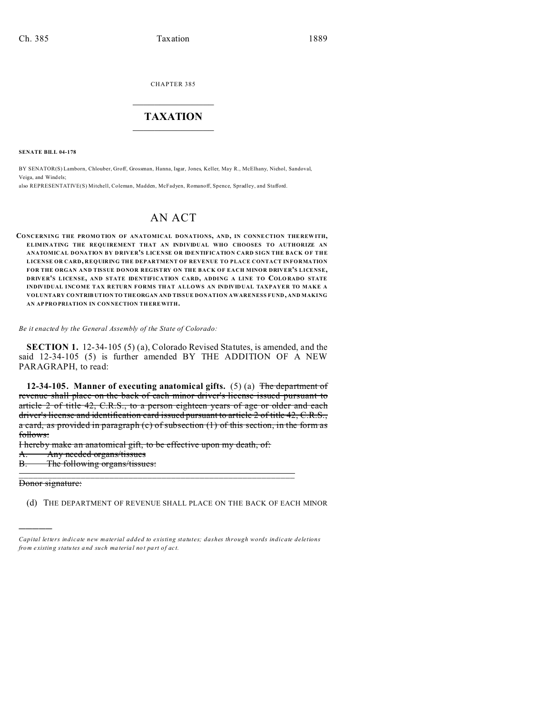CHAPTER 385  $\overline{\phantom{a}}$  , where  $\overline{\phantom{a}}$ 

## **TAXATION**  $\_$

**SENATE BILL 04-178**

BY SENATOR(S) Lamborn, Chlouber, Groff, Grossman, Hanna, Isgar, Jones, Keller, May R., McElhany, Nichol, Sandoval, Veiga, and Windels;

also REPRESENTATIVE(S) Mitchell, Coleman, Madden, McFadyen, Romanoff, Spence, Spradley, and Stafford.

# AN ACT

**CONCERNING THE PROMO TION OF ANATOMICAL DONATIONS, AND, IN CONNE CTION THE REW ITH, ELIMINATING THE REQUIREMENT THAT AN INDIVIDUAL WHO CHOOSES TO AUTHORIZE AN ANATOMICAL DONATION BY DRIVER'S LICENSE OR IDENTIFICATION CARD SIGN THE BACK OF THE LICENSE OR CARD, REQUIRING THE DEPARTMENT OF REVENUE TO PLACE CONTACT INFORMATION FOR THE ORGAN AND TISSUE DONOR REGISTRY ON THE BACK OF EACH MINOR DRIVER'S LICENSE, DRIVER'S LICENSE, AND STATE IDENTIFICATION CARD, ADDING A LINE TO COLO RADO STATE INDIVIDUAL INCOME TAX RETURN FORMS THAT ALLOWS AN INDIVIDUAL TAXPAYER TO MAKE A VOLUNTARY CO NTRIB UTION TO THEORGAN AND TISSUE DONATION AWARENESS FUND, AND MAKING AN AP PRO PRIATION IN CON NECTION TH EREWITH.**

*Be it enacted by the General Assembly of the State of Colorado:*

**SECTION 1.** 12-34-105 (5) (a), Colorado Revised Statutes, is amended, and the said 12-34-105 (5) is further amended BY THE ADDITION OF A NEW PARAGRAPH, to read:

**12-34-105. Manner of executing anatomical gifts.** (5) (a) The department of revenue shall place on the back of each minor driver's license issued pursuant to article 2 of title 42, C.R.S., to a person eighteen years of age or older and each driver's license and identification card issued pursuant to article 2 of title 42, C.R.S., a card, as provided in paragraph (c) of subsection (1) of this section, in the form as follows:

I hereby make an anatomical gift, to be effective upon my death, of: A. Any needed organs/tissues B. The following organs/tissues:

\_\_\_\_\_\_\_\_\_\_\_\_\_\_\_\_\_\_\_\_\_\_\_\_\_\_\_\_\_\_\_\_\_\_\_\_\_\_\_\_\_\_\_\_\_\_\_\_\_\_\_\_\_\_\_\_\_\_

Donor signature:

)))))

(d) THE DEPARTMENT OF REVENUE SHALL PLACE ON THE BACK OF EACH MINOR

*Capital letters indicate new material added to existing statutes; dashes through words indicate deletions from e xistin g statu tes a nd such ma teria l no t pa rt of ac t.*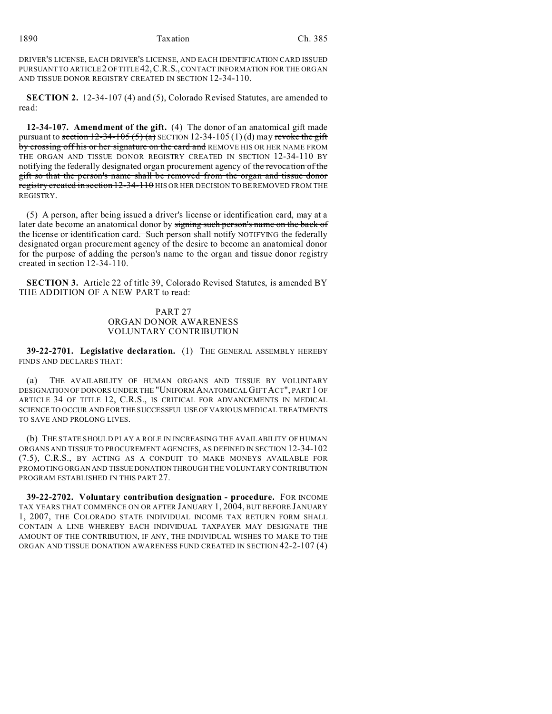1890 Taxation Ch. 385

DRIVER'S LICENSE, EACH DRIVER'S LICENSE, AND EACH IDENTIFICATION CARD ISSUED PURSUANT TO ARTICLE 2 OF TITLE 42,C.R.S., CONTACT INFORMATION FOR THE ORGAN AND TISSUE DONOR REGISTRY CREATED IN SECTION 12-34-110.

**SECTION 2.** 12-34-107 (4) and (5), Colorado Revised Statutes, are amended to read:

**12-34-107. Amendment of the gift.** (4) The donor of an anatomical gift made pursuant to section  $12-34-105(5)$  (a) SECTION  $12-34-105(1)$  (d) may revoke the gift by crossing off his or her signature on the card and REMOVE HIS OR HER NAME FROM THE ORGAN AND TISSUE DONOR REGISTRY CREATED IN SECTION 12-34-110 BY notifying the federally designated organ procurement agency of the revocation of the gift so that the person's name shall be removed from the organ and tissue donor registry created in section 12-34-110 HIS OR HER DECISION TO BE REMOVED FROM THE REGISTRY.

(5) A person, after being issued a driver's license or identification card, may at a later date become an anatomical donor by signing such person's name on the back of the license or identification card. Such person shall notify NOTIFYING the federally designated organ procurement agency of the desire to become an anatomical donor for the purpose of adding the person's name to the organ and tissue donor registry created in section 12-34-110.

**SECTION 3.** Article 22 of title 39, Colorado Revised Statutes, is amended BY THE ADDITION OF A NEW PART to read:

# PART 27 ORGAN DONOR AWARENESS VOLUNTARY CONTRIBUTION

**39-22-2701. Legislative declaration.** (1) THE GENERAL ASSEMBLY HEREBY FINDS AND DECLARES THAT:

(a) THE AVAILABILITY OF HUMAN ORGANS AND TISSUE BY VOLUNTARY DESIGNATION OF DONORS UNDER THE "UNIFORM ANATOMICAL GIFT ACT", PART 1 OF ARTICLE 34 OF TITLE 12, C.R.S., IS CRITICAL FOR ADVANCEMENTS IN MEDICAL SCIENCE TO OCCUR AND FOR THE SUCCESSFUL USE OF VARIOUS MEDICAL TREATMENTS TO SAVE AND PROLONG LIVES.

(b) THE STATE SHOULD PLAY A ROLE IN INCREASING THE AVAILABILITY OF HUMAN ORGANS AND TISSUE TO PROCUREMENT AGENCIES, AS DEFINED IN SECTION 12-34-102 (7.5), C.R.S., BY ACTING AS A CONDUIT TO MAKE MONEYS AVAILABLE FOR PROMOTING ORGAN AND TISSUE DONATION THROUGH THE VOLUNTARY CONTRIBUTION PROGRAM ESTABLISHED IN THIS PART 27.

**39-22-2702. Voluntary contribution designation - procedure.** FOR INCOME TAX YEARS THAT COMMENCE ON OR AFTER JANUARY 1, 2004, BUT BEFORE JANUARY 1, 2007, THE COLORADO STATE INDIVIDUAL INCOME TAX RETURN FORM SHALL CONTAIN A LINE WHEREBY EACH INDIVIDUAL TAXPAYER MAY DESIGNATE THE AMOUNT OF THE CONTRIBUTION, IF ANY, THE INDIVIDUAL WISHES TO MAKE TO THE ORGAN AND TISSUE DONATION AWARENESS FUND CREATED IN SECTION 42-2-107 (4)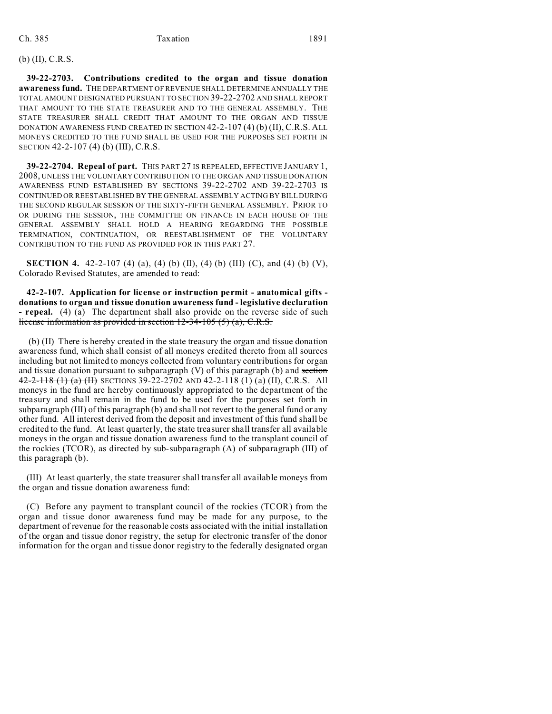## (b) (II), C.R.S.

**39-22-2703. Contributions credited to the organ and tissue donation awareness fund.** THE DEPARTMENT OF REVENUE SHALL DETERMINE ANNUALLY THE TOTAL AMOUNT DESIGNATED PURSUANT TO SECTION 39-22-2702 AND SHALL REPORT THAT AMOUNT TO THE STATE TREASURER AND TO THE GENERAL ASSEMBLY. THE STATE TREASURER SHALL CREDIT THAT AMOUNT TO THE ORGAN AND TISSUE DONATION AWARENESS FUND CREATED IN SECTION 42-2-107 (4) (b) (II), C.R.S. ALL MONEYS CREDITED TO THE FUND SHALL BE USED FOR THE PURPOSES SET FORTH IN SECTION 42-2-107 (4) (b) (III), C.R.S.

**39-22-2704. Repeal of part.** THIS PART 27 IS REPEALED, EFFECTIVE JANUARY 1, 2008, UNLESS THE VOLUNTARY CONTRIBUTION TO THE ORGAN AND TISSUE DONATION AWARENESS FUND ESTABLISHED BY SECTIONS 39-22-2702 AND 39-22-2703 IS CONTINUED OR REESTABLISHED BY THE GENERAL ASSEMBLY ACTING BY BILL DURING THE SECOND REGULAR SESSION OF THE SIXTY-FIFTH GENERAL ASSEMBLY. PRIOR TO OR DURING THE SESSION, THE COMMITTEE ON FINANCE IN EACH HOUSE OF THE GENERAL ASSEMBLY SHALL HOLD A HEARING REGARDING THE POSSIBLE TERMINATION, CONTINUATION, OR REESTABLISHMENT OF THE VOLUNTARY CONTRIBUTION TO THE FUND AS PROVIDED FOR IN THIS PART 27.

**SECTION 4.** 42-2-107 (4) (a), (4) (b) (II), (4) (b) (III) (C), and (4) (b) (V), Colorado Revised Statutes, are amended to read:

**42-2-107. Application for license or instruction permit - anatomical gifts donations to organ and tissue donation awareness fund - legislative declaration - repeal.** (4) (a) The department shall also provide on the reverse side of such license information as provided in section 12-34-105 (5) (a), C.R.S.

 (b) (II) There is hereby created in the state treasury the organ and tissue donation awareness fund, which shall consist of all moneys credited thereto from all sources including but not limited to moneys collected from voluntary contributions for organ and tissue donation pursuant to subparagraph  $(V)$  of this paragraph  $(b)$  and section  $42-2-118$  (1) (a) (H) SECTIONS 39-22-2702 AND 42-2-118 (1) (a) (II), C.R.S. All moneys in the fund are hereby continuously appropriated to the department of the treasury and shall remain in the fund to be used for the purposes set forth in subparagraph (III) of this paragraph (b) and shall not revert to the general fund or any other fund. All interest derived from the deposit and investment of this fund shall be credited to the fund. At least quarterly, the state treasurer shall transfer all available moneys in the organ and tissue donation awareness fund to the transplant council of the rockies (TCOR), as directed by sub-subparagraph (A) of subparagraph (III) of this paragraph (b).

(III) At least quarterly, the state treasurer shall transfer all available moneys from the organ and tissue donation awareness fund:

(C) Before any payment to transplant council of the rockies (TCOR) from the organ and tissue donor awareness fund may be made for any purpose, to the department of revenue for the reasonable costs associated with the initial installation of the organ and tissue donor registry, the setup for electronic transfer of the donor information for the organ and tissue donor registry to the federally designated organ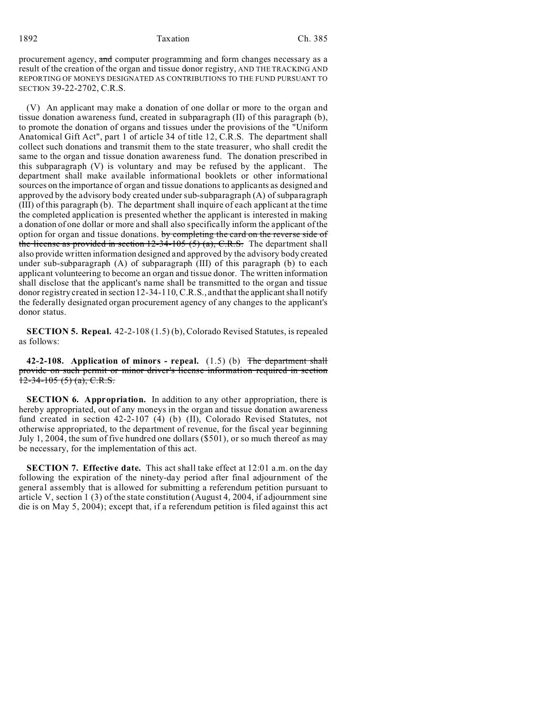#### 1892 Taxation Ch. 385

procurement agency, and computer programming and form changes necessary as a result of the creation of the organ and tissue donor registry, AND THE TRACKING AND REPORTING OF MONEYS DESIGNATED AS CONTRIBUTIONS TO THE FUND PURSUANT TO SECTION 39-22-2702, C.R.S.

(V) An applicant may make a donation of one dollar or more to the organ and tissue donation awareness fund, created in subparagraph (II) of this paragraph (b), to promote the donation of organs and tissues under the provisions of the "Uniform Anatomical Gift Act", part 1 of article 34 of title 12, C.R.S. The department shall collect such donations and transmit them to the state treasurer, who shall credit the same to the organ and tissue donation awareness fund. The donation prescribed in this subparagraph (V) is voluntary and may be refused by the applicant. The department shall make available informational booklets or other informational sources on the importance of organ and tissue donations to applicants as designed and approved by the advisory body created under sub-subparagraph (A) of subparagraph (III) of this paragraph (b). The department shall inquire of each applicant at the time the completed application is presented whether the applicant is interested in making a donation of one dollar or more and shall also specifically inform the applicant of the option for organ and tissue donations. by completing the card on the reverse side of the license as provided in section  $12-34-105$  (5) (a), C.R.S. The department shall also provide written information designed and approved by the advisory body created under sub-subparagraph (A) of subparagraph (III) of this paragraph (b) to each applicant volunteering to become an organ and tissue donor. The written information shall disclose that the applicant's name shall be transmitted to the organ and tissue donor registry created in section 12-34-110, C.R.S., and that the applicant shall notify the federally designated organ procurement agency of any changes to the applicant's donor status.

**SECTION 5. Repeal.** 42-2-108 (1.5) (b), Colorado Revised Statutes, is repealed as follows:

**42-2-108. Application of minors - repeal.** (1.5) (b) The department shall provide on such permit or minor driver's license information required in section  $12-34-105$  (5) (a), C.R.S.

**SECTION 6. Appropriation.** In addition to any other appropriation, there is hereby appropriated, out of any moneys in the organ and tissue donation awareness fund created in section 42-2-107 (4) (b) (II), Colorado Revised Statutes, not otherwise appropriated, to the department of revenue, for the fiscal year beginning July 1, 2004, the sum of five hundred one dollars (\$501), or so much thereof as may be necessary, for the implementation of this act.

**SECTION 7. Effective date.** This act shall take effect at 12:01 a.m. on the day following the expiration of the ninety-day period after final adjournment of the general assembly that is allowed for submitting a referendum petition pursuant to article V, section 1 (3) of the state constitution (August 4, 2004, if adjournment sine die is on May 5, 2004); except that, if a referendum petition is filed against this act